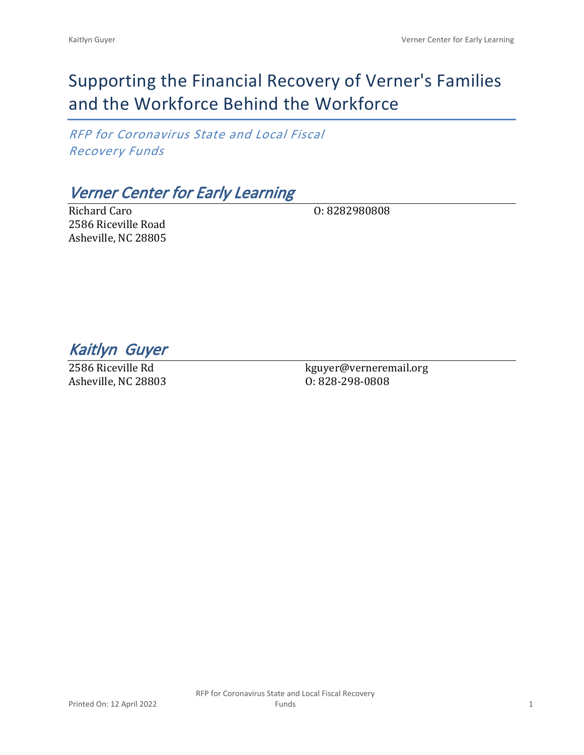## Supporting the Financial Recovery of Verner's Families and the Workforce Behind the Workforce

*RFP for Coronavirus State and Local Fiscal Recovery Funds*

*Verner Center for Early Learning*

Richard Caro 2586 Riceville Road Asheville, NC 28805 O: 8282980808

*Kaitlyn Guyer* 

2586 Riceville Rd Asheville, NC 28803 kguyer@verneremail.org O: 828-298-0808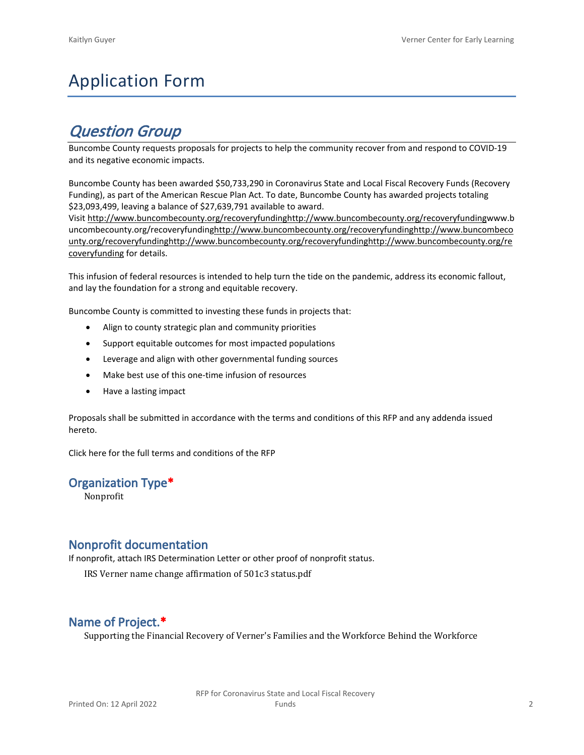# Application Form

## *Question Group*

Buncombe County requests proposals for projects to help the community recover from and respond to COVID-19 and its negative economic impacts.

Buncombe County has been awarded \$50,733,290 in Coronavirus State and Local Fiscal Recovery Funds (Recovery Funding), as part of the American Rescue Plan Act. To date, Buncombe County has awarded projects totaling \$23,093,499, leaving a balance of \$27,639,791 available to award.

Visit [http://www.buncombecounty.org/recoveryfundinghttp://www.buncombecounty.org/recoveryfundingwww.b](http://www.buncombecounty.org/recoveryfunding) [uncombecounty.org/recoveryfundinghttp://www.buncombecounty.org/recoveryfundinghttp://www.buncombeco](http://www.buncombecounty.org/recoveryfunding) [unty.org/recoveryfundinghttp://www.buncombecounty.org/recoveryfundinghttp://www.buncombecounty.org/re](http://www.buncombecounty.org/recoveryfunding) [coveryfunding](http://www.buncombecounty.org/recoveryfunding) for details.

This infusion of federal resources is intended to help turn the tide on the pandemic, address its economic fallout, and lay the foundation for a strong and equitable recovery.

Buncombe County is committed to investing these funds in projects that:

- Align to county strategic plan and community priorities
- Support equitable outcomes for most impacted populations
- Leverage and align with other governmental funding sources
- Make best use of this one-time infusion of resources
- Have a lasting impact

Proposals shall be submitted in accordance with the terms and conditions of this RFP and any addenda issued hereto.

Click [here](https://www.buncombecounty.org/common/purchasing/Buncombe%20Recovery%20Funding%20RFP%202022.pdf) for the full terms and conditions of the RFP

#### **Organization Type\***

Nonprofit

#### **Nonprofit documentation**

If nonprofit, attach IRS Determination Letter or other proof of nonprofit status.

IRS Verner name change affirmation of 501c3 status.pdf

### **Name of Project.\***

Supporting the Financial Recovery of Verner's Families and the Workforce Behind the Workforce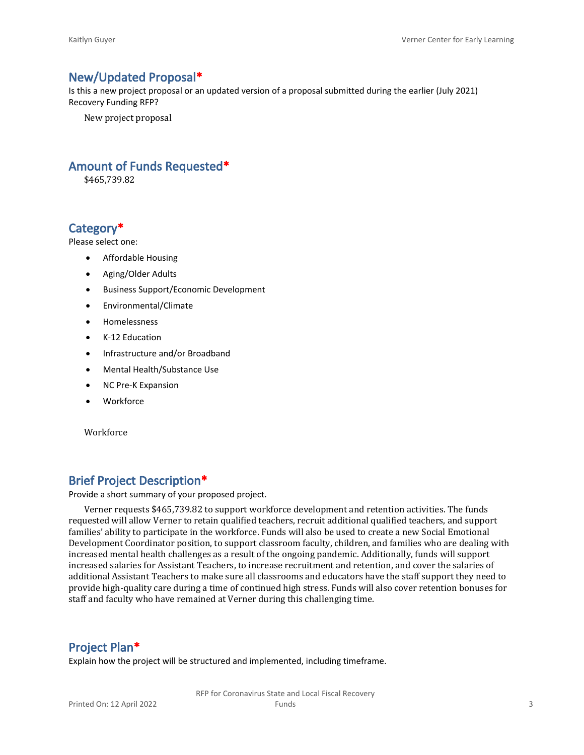#### **New/Updated Proposal\***

Is this a new project proposal or an updated version of a proposal submitted during the earlier (July 2021) Recovery Funding RFP?

New project proposal

#### **Amount of Funds Requested\***

\$465,739.82

#### **Category\***

Please select one:

- Affordable Housing
- Aging/Older Adults
- Business Support/Economic Development
- Environmental/Climate
- Homelessness
- K-12 Education
- Infrastructure and/or Broadband
- Mental Health/Substance Use
- NC Pre-K Expansion
- Workforce

Workforce

#### **Brief Project Description\***

Provide a short summary of your proposed project.

Verner requests \$465,739.82 to support workforce development and retention activities. The funds requested will allow Verner to retain qualified teachers, recruit additional qualified teachers, and support families' ability to participate in the workforce. Funds will also be used to create a new Social Emotional Development Coordinator position, to support classroom faculty, children, and families who are dealing with increased mental health challenges as a result of the ongoing pandemic. Additionally, funds will support increased salaries for Assistant Teachers, to increase recruitment and retention, and cover the salaries of additional Assistant Teachers to make sure all classrooms and educators have the staff support they need to provide high-quality care during a time of continued high stress. Funds will also cover retention bonuses for staff and faculty who have remained at Verner during this challenging time.

#### **Project Plan\***

Explain how the project will be structured and implemented, including timeframe.

RFP for Coronavirus State and Local Fiscal Recovery Funds 3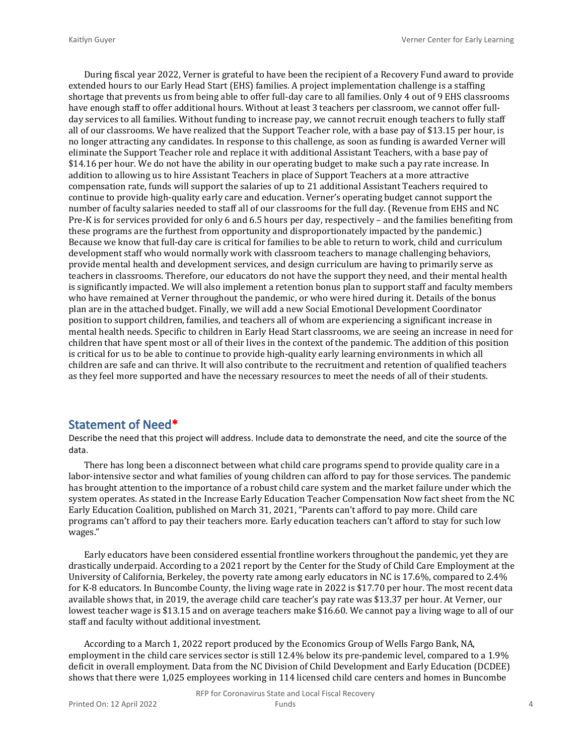During fiscal year 2022, Verner is grateful to have been the recipient of a Recovery Fund award to provide extended hours to our Early Head Start (EHS) families. A project implementation challenge is a staffing shortage that prevents us from being able to offer full-day care to all families. Only 4 out of 9 EHS classrooms have enough staff to offer additional hours. Without at least 3 teachers per classroom, we cannot offer fullday services to all families. Without funding to increase pay, we cannot recruit enough teachers to fully staff all of our classrooms. We have realized that the Support Teacher role, with a base pay of \$13.15 per hour, is no longer attracting any candidates. In response to this challenge, as soon as funding is awarded Verner will eliminate the Support Teacher role and replace it with additional Assistant Teachers, with a base pay of \$14.16 per hour. We do not have the ability in our operating budget to make such a pay rate increase. In addition to allowing us to hire Assistant Teachers in place of Support Teachers at a more attractive compensation rate, funds will support the salaries of up to 21 additional Assistant Teachers required to continue to provide high-quality early care and education. Verner's operating budget cannot support the number of faculty salaries needed to staff all of our classrooms for the full day. (Revenue from EHS and NC Pre-K is for services provided for only 6 and 6.5 hours per day, respectively – and the families benefiting from these programs are the furthest from opportunity and disproportionately impacted by the pandemic.) Because we know that full-day care is critical for families to be able to return to work, child and curriculum development staff who would normally work with classroom teachers to manage challenging behaviors, provide mental health and development services, and design curriculum are having to primarily serve as teachers in classrooms. Therefore, our educators do not have the support they need, and their mental health is significantly impacted. We will also implement a retention bonus plan to support staff and faculty members who have remained at Verner throughout the pandemic, or who were hired during it. Details of the bonus plan are in the attached budget. Finally, we will add a new Social Emotional Development Coordinator position to support children, families, and teachers all of whom are experiencing a significant increase in mental health needs. Specific to children in Early Head Start classrooms, we are seeing an increase in need for children that have spent most or all of their lives in the context of the pandemic. The addition of this position is critical for us to be able to continue to provide high-quality early learning environments in which all children are safe and can thrive. It will also contribute to the recruitment and retention of qualified teachers as they feel more supported and have the necessary resources to meet the needs of all of their students.

#### **Statement of Need\***

Describe the need that this project will address. Include data to demonstrate the need, and cite the source of the data.

There has long been a disconnect between what child care programs spend to provide quality care in a labor-intensive sector and what families of young children can afford to pay for those services. The pandemic has brought attention to the importance of a robust child care system and the market failure under which the system operates. As stated in the Increase Early Education Teacher Compensation Now fact sheet from the NC Early Education Coalition, published on March 31, 2021, "Parents can't afford to pay more. Child care programs can't afford to pay their teachers more. Early education teachers can't afford to stay for such low wages."

Early educators have been considered essential frontline workers throughout the pandemic, yet they are drastically underpaid. According to a 2021 report by the Center for the Study of Child Care Employment at the University of California, Berkeley, the poverty rate among early educators in NC is 17.6%, compared to 2.4% for K-8 educators. In Buncombe County, the living wage rate in 2022 is \$17.70 per hour. The most recent data available shows that, in 2019, the average child care teacher's pay rate was \$13.37 per hour. At Verner, our lowest teacher wage is \$13.15 and on average teachers make \$16.60. We cannot pay a living wage to all of our staff and faculty without additional investment.

According to a March 1, 2022 report produced by the Economics Group of Wells Fargo Bank, NA, employment in the child care services sector is still 12.4% below its pre-pandemic level, compared to a 1.9% deficit in overall employment. Data from the NC Division of Child Development and Early Education (DCDEE) shows that there were 1,025 employees working in 114 licensed child care centers and homes in Buncombe

RFP for Coronavirus State and Local Fiscal Recovery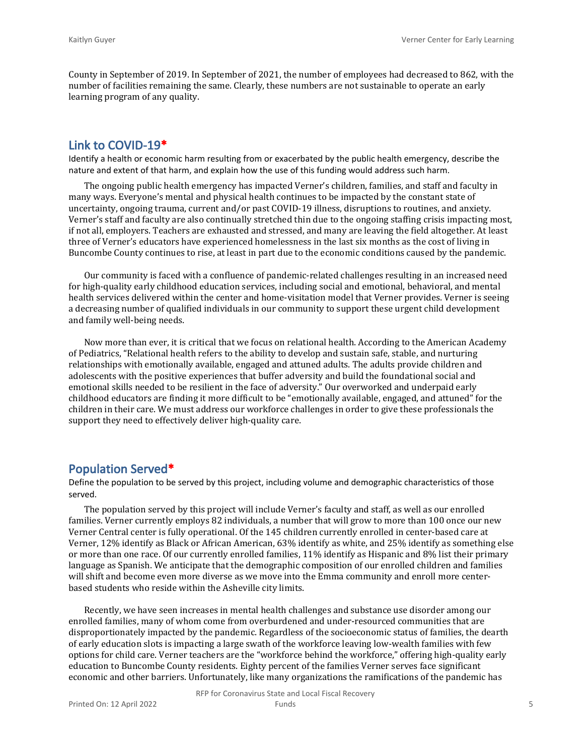County in September of 2019. In September of 2021, the number of employees had decreased to 862, with the number of facilities remaining the same. Clearly, these numbers are not sustainable to operate an early learning program of any quality.

#### **Link to COVID-19\***

Identify a health or economic harm resulting from or exacerbated by the public health emergency, describe the nature and extent of that harm, and explain how the use of this funding would address such harm.

The ongoing public health emergency has impacted Verner's children, families, and staff and faculty in many ways. Everyone's mental and physical health continues to be impacted by the constant state of uncertainty, ongoing trauma, current and/or past COVID-19 illness, disruptions to routines, and anxiety. Verner's staff and faculty are also continually stretched thin due to the ongoing staffing crisis impacting most, if not all, employers. Teachers are exhausted and stressed, and many are leaving the field altogether. At least three of Verner's educators have experienced homelessness in the last six months as the cost of living in Buncombe County continues to rise, at least in part due to the economic conditions caused by the pandemic.

Our community is faced with a confluence of pandemic-related challenges resulting in an increased need for high-quality early childhood education services, including social and emotional, behavioral, and mental health services delivered within the center and home-visitation model that Verner provides. Verner is seeing a decreasing number of qualified individuals in our community to support these urgent child development and family well-being needs.

Now more than ever, it is critical that we focus on relational health. According to the American Academy of Pediatrics, "Relational health refers to the ability to develop and sustain safe, stable, and nurturing relationships with emotionally available, engaged and attuned adults. The adults provide children and adolescents with the positive experiences that buffer adversity and build the foundational social and emotional skills needed to be resilient in the face of adversity." Our overworked and underpaid early childhood educators are finding it more difficult to be "emotionally available, engaged, and attuned" for the children in their care. We must address our workforce challenges in order to give these professionals the support they need to effectively deliver high-quality care.

#### **Population Served\***

Define the population to be served by this project, including volume and demographic characteristics of those served.

The population served by this project will include Verner's faculty and staff, as well as our enrolled families. Verner currently employs 82 individuals, a number that will grow to more than 100 once our new Verner Central center is fully operational. Of the 145 children currently enrolled in center-based care at Verner, 12% identify as Black or African American, 63% identify as white, and 25% identify as something else or more than one race. Of our currently enrolled families, 11% identify as Hispanic and 8% list their primary language as Spanish. We anticipate that the demographic composition of our enrolled children and families will shift and become even more diverse as we move into the Emma community and enroll more centerbased students who reside within the Asheville city limits.

Recently, we have seen increases in mental health challenges and substance use disorder among our enrolled families, many of whom come from overburdened and under-resourced communities that are disproportionately impacted by the pandemic. Regardless of the socioeconomic status of families, the dearth of early education slots is impacting a large swath of the workforce leaving low-wealth families with few options for child care. Verner teachers are the "workforce behind the workforce," offering high-quality early education to Buncombe County residents. Eighty percent of the families Verner serves face significant economic and other barriers. Unfortunately, like many organizations the ramifications of the pandemic has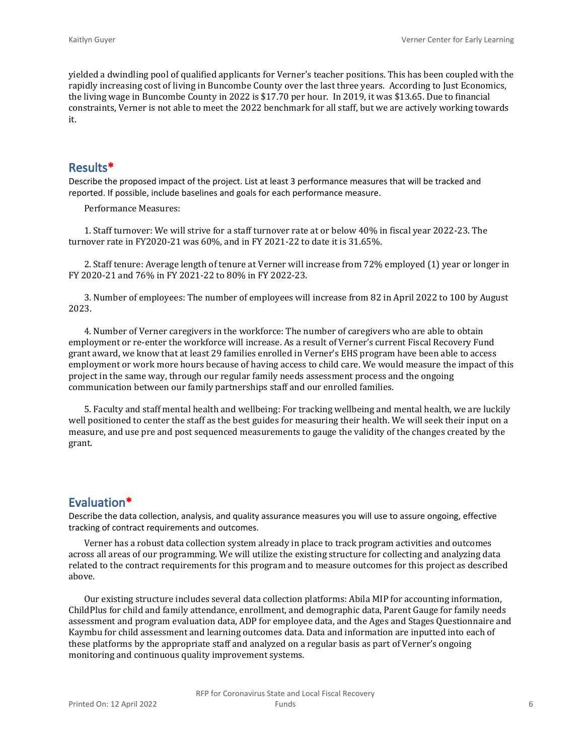yielded a dwindling pool of qualified applicants for Verner's teacher positions. This has been coupled with the rapidly increasing cost of living in Buncombe County over the last three years. According to Just Economics, the living wage in Buncombe County in 2022 is \$17.70 per hour. In 2019, it was \$13.65. Due to financial constraints, Verner is not able to meet the 2022 benchmark for all staff, but we are actively working towards it.

#### **Results\***

Describe the proposed impact of the project. List at least 3 performance measures that will be tracked and reported. If possible, include baselines and goals for each performance measure.

Performance Measures:

1. Staff turnover: We will strive for a staff turnover rate at or below 40% in fiscal year 2022-23. The turnover rate in FY2020-21 was 60%, and in FY 2021-22 to date it is 31.65%.

2. Staff tenure: Average length of tenure at Verner will increase from 72% employed (1) year or longer in FY 2020-21 and 76% in FY 2021-22 to 80% in FY 2022-23.

3. Number of employees: The number of employees will increase from 82 in April 2022 to 100 by August 2023.

4. Number of Verner caregivers in the workforce: The number of caregivers who are able to obtain employment or re-enter the workforce will increase. As a result of Verner's current Fiscal Recovery Fund grant award, we know that at least 29 families enrolled in Verner's EHS program have been able to access employment or work more hours because of having access to child care. We would measure the impact of this project in the same way, through our regular family needs assessment process and the ongoing communication between our family partnerships staff and our enrolled families.

5. Faculty and staff mental health and wellbeing: For tracking wellbeing and mental health, we are luckily well positioned to center the staff as the best guides for measuring their health. We will seek their input on a measure, and use pre and post sequenced measurements to gauge the validity of the changes created by the grant.

#### **Evaluation\***

Describe the data collection, analysis, and quality assurance measures you will use to assure ongoing, effective tracking of contract requirements and outcomes.

Verner has a robust data collection system already in place to track program activities and outcomes across all areas of our programming. We will utilize the existing structure for collecting and analyzing data related to the contract requirements for this program and to measure outcomes for this project as described above.

Our existing structure includes several data collection platforms: Abila MIP for accounting information, ChildPlus for child and family attendance, enrollment, and demographic data, Parent Gauge for family needs assessment and program evaluation data, ADP for employee data, and the Ages and Stages Questionnaire and Kaymbu for child assessment and learning outcomes data. Data and information are inputted into each of these platforms by the appropriate staff and analyzed on a regular basis as part of Verner's ongoing monitoring and continuous quality improvement systems.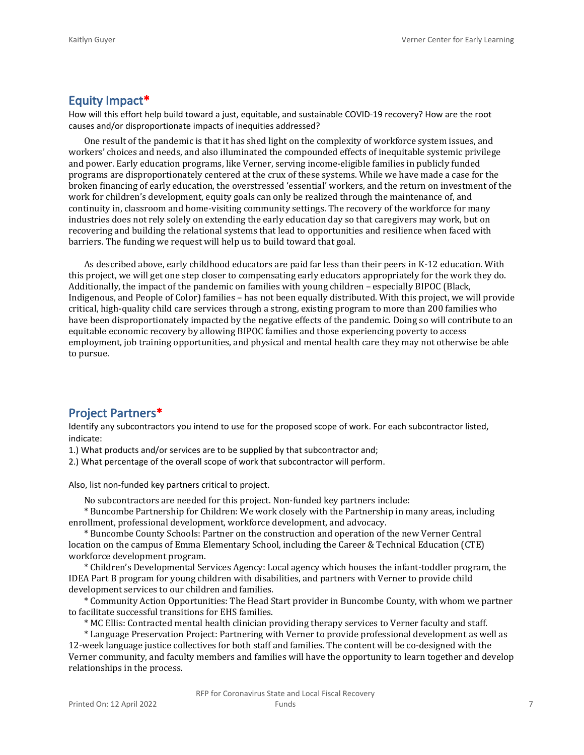#### **Equity Impact\***

How will this effort help build toward a just, equitable, and sustainable COVID-19 recovery? How are the root causes and/or disproportionate impacts of inequities addressed?

One result of the pandemic is that it has shed light on the complexity of workforce system issues, and workers' choices and needs, and also illuminated the compounded effects of inequitable systemic privilege and power. Early education programs, like Verner, serving income-eligible families in publicly funded programs are disproportionately centered at the crux of these systems. While we have made a case for the broken financing of early education, the overstressed 'essential' workers, and the return on investment of the work for children's development, equity goals can only be realized through the maintenance of, and continuity in, classroom and home-visiting community settings. The recovery of the workforce for many industries does not rely solely on extending the early education day so that caregivers may work, but on recovering and building the relational systems that lead to opportunities and resilience when faced with barriers. The funding we request will help us to build toward that goal.

As described above, early childhood educators are paid far less than their peers in K-12 education. With this project, we will get one step closer to compensating early educators appropriately for the work they do. Additionally, the impact of the pandemic on families with young children – especially BIPOC (Black, Indigenous, and People of Color) families – has not been equally distributed. With this project, we will provide critical, high-quality child care services through a strong, existing program to more than 200 families who have been disproportionately impacted by the negative effects of the pandemic. Doing so will contribute to an equitable economic recovery by allowing BIPOC families and those experiencing poverty to access employment, job training opportunities, and physical and mental health care they may not otherwise be able to pursue.

#### **Project Partners\***

Identify any subcontractors you intend to use for the proposed scope of work. For each subcontractor listed, indicate:

1.) What products and/or services are to be supplied by that subcontractor and;

2.) What percentage of the overall scope of work that subcontractor will perform.

Also, list non-funded key partners critical to project.

No subcontractors are needed for this project. Non-funded key partners include:

\* Buncombe Partnership for Children: We work closely with the Partnership in many areas, including enrollment, professional development, workforce development, and advocacy.

\* Buncombe County Schools: Partner on the construction and operation of the new Verner Central location on the campus of Emma Elementary School, including the Career & Technical Education (CTE) workforce development program.

\* Children's Developmental Services Agency: Local agency which houses the infant-toddler program, the IDEA Part B program for young children with disabilities, and partners with Verner to provide child development services to our children and families.

\* Community Action Opportunities: The Head Start provider in Buncombe County, with whom we partner to facilitate successful transitions for EHS families.

\* MC Ellis: Contracted mental health clinician providing therapy services to Verner faculty and staff.

\* Language Preservation Project: Partnering with Verner to provide professional development as well as 12-week language justice collectives for both staff and families. The content will be co-designed with the Verner community, and faculty members and families will have the opportunity to learn together and develop relationships in the process.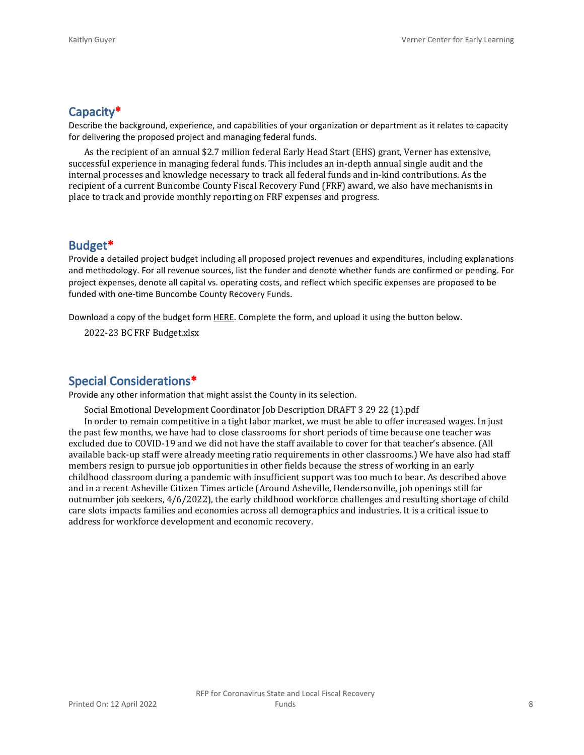### **Capacity\***

Describe the background, experience, and capabilities of your organization or department as it relates to capacity for delivering the proposed project and managing federal funds.

As the recipient of an annual \$2.7 million federal Early Head Start (EHS) grant, Verner has extensive, successful experience in managing federal funds. This includes an in-depth annual single audit and the internal processes and knowledge necessary to track all federal funds and in-kind contributions. As the recipient of a current Buncombe County Fiscal Recovery Fund (FRF) award, we also have mechanisms in place to track and provide monthly reporting on FRF expenses and progress.

#### **Budget\***

Provide a detailed project budget including all proposed project revenues and expenditures, including explanations and methodology. For all revenue sources, list the funder and denote whether funds are confirmed or pending. For project expenses, denote all capital vs. operating costs, and reflect which specific expenses are proposed to be funded with one-time Buncombe County Recovery Funds.

Download a copy of the budget form [HERE](https://buncombecounty.org/common/community-investment/grants/early-childhood-education/Recovery-Funds-budget-template.xlsx). Complete the form, and upload it using the button below.

2022-23 BC FRF Budget.xlsx

#### **Special Considerations\***

Provide any other information that might assist the County in its selection.

Social Emotional Development Coordinator Job Description DRAFT 3 29 22 (1).pdf

In order to remain competitive in a tight labor market, we must be able to offer increased wages. In just the past few months, we have had to close classrooms for short periods of time because one teacher was excluded due to COVID-19 and we did not have the staff available to cover for that teacher's absence. (All available back-up staff were already meeting ratio requirements in other classrooms.) We have also had staff members resign to pursue job opportunities in other fields because the stress of working in an early childhood classroom during a pandemic with insufficient support was too much to bear. As described above and in a recent Asheville Citizen Times article (Around Asheville, Hendersonville, job openings still far outnumber job seekers, 4/6/2022), the early childhood workforce challenges and resulting shortage of child care slots impacts families and economies across all demographics and industries. It is a critical issue to address for workforce development and economic recovery.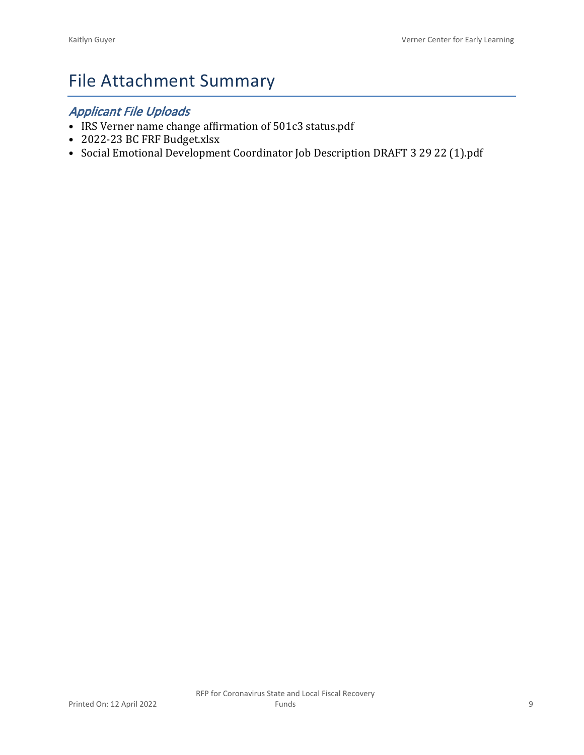## File Attachment Summary

## *Applicant File Uploads*

- IRS Verner name change affirmation of 501c3 status.pdf
- 2022-23 BC FRF Budget.xlsx
- Social Emotional Development Coordinator Job Description DRAFT 3 29 22 (1).pdf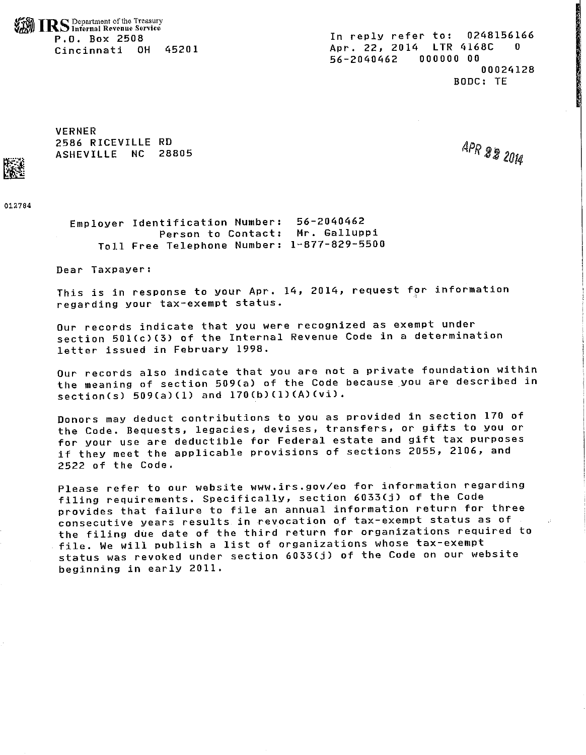**IRS** Department of the Treasury P.O. Box 2508 Cincinnati OH 45201

In reply refer to: 0248156166 Apr. 22, 2014 LTR 4168C  $\Omega$ 000000 00 56-2040462 00024128 BODC: TE

**VERNER** 2586 RICEVILLE RD ASHEVILLE NC 28805

APR 22 2014

012784

Employer Identification Number: 56-2040462 Person to Contact: Mr. Galluppi Toll Free Telephone Number: 1-877-829-5500

Dear Taxpayer:

This is in response to your Apr. 14, 2014, request for information regarding your tax-exempt status.

Our records indicate that you were recognized as exempt under section 501(c)(3) of the Internal Revenue Code in a determination letter issued in February 1998.

Our records also indicate that you are not a private foundation within the meaning of section 509(a) of the Code because you are described in section(s) 509(a)(1) and 170(b)(1)(A)(vi).

Donors may deduct contributions to you as provided in section 170 of the Code. Bequests, legacies, devises, transfers, or gifts to you or for your use are deductible for Federal estate and gift tax purposes if they meet the applicable provisions of sections 2055, 2106, and 2522 of the Code.

Please refer to our website www.irs.gov/eo for information regarding filing requirements. Specifically, section 6033(j) of the Code provides that failure to file an annual information return for three consecutive years results in revocation of tax-exempt status as of the filing due date of the third return for organizations required to file. We will publish a list of organizations whose tax-exempt status was revoked under section 6033(j) of the Code on our website beginning in early 2011.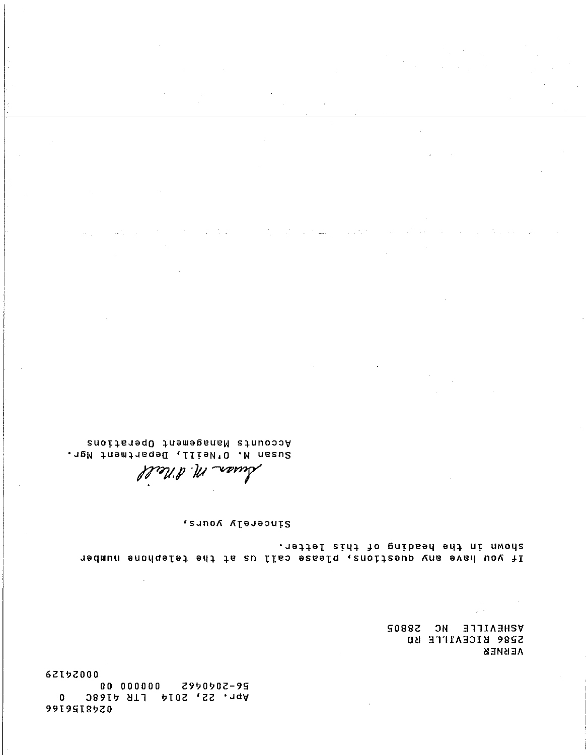62Ib2000 00 000000 2950502-95 Apr. 22, 2014 LTR 4168C  $\mathbf{0}$ 9919518520

ASHEVILLE NC 28065 SP86 BICEAITTE BD **AEBMER** 

 $\sim 10^6$ 

. astiel zidt to gnibsen ent ni nwonz. If you have any district blesse call is an ide felebbody and had

المواردة والمتواصل والمستحقق والأستعداد والمتعادل والمستعيش والمواري والمتعادل والمتعادل والمتعادل والمتعارض

Eincerely Vonts

Suran M. d'Naill

Accounts Management Operations . 19M fneahil, Department Ngr.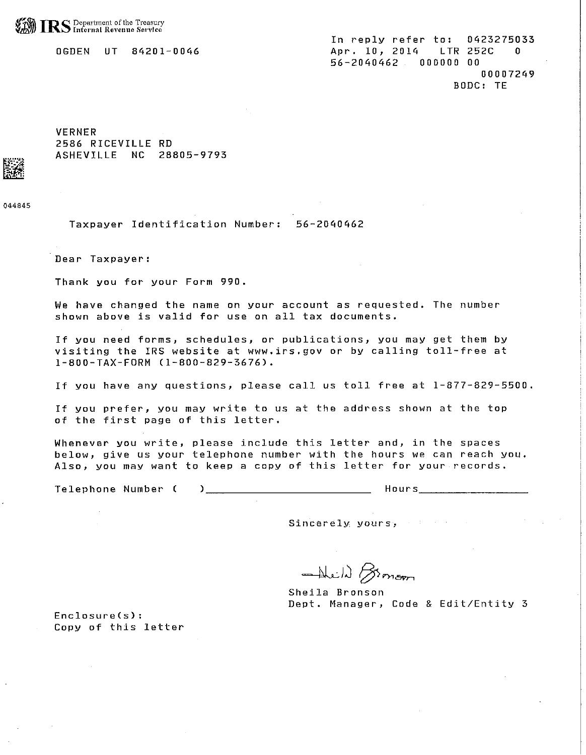

#### OGDEN UT 84201-0046

In reply refer to: 0423275033 Apr. 10, 2014 LTR 252C 0 56-2040462 000000 00 00007249 BODC: TE

**VERNER** 2586 RICEVILLE RD ASHEVILLE NC 28805-9793

044845

Taxpaver Identification Number: 56-2040462

 $\frac{1}{2}$ 

Dear Taxpayer:

Thank you for your Form 990.

We have changed the name on your account as requested. The number shown above is valid for use on all tax documents.

If you need forms, schedules, or publications, you may get them by visiting the IRS website at www.irs.gov or by calling toll-free at 1-800-TAX-FORM (1-800-829-3676).

If you have any questions, please call us toll free at 1-877-829-5500.

If you prefer, you may write to us at the address shown at the top of the first page of this letter.

Whenever you write, please include this letter and, in the spaces below, give us your telephone number with the hours we can reach you. Also, you may want to keep a copy of this letter for your records.

Telephone Number (

Hours\_\_

Sincerely yours, and the state of the state of the state of the state of the state of the state of the state o

 $-\lambda\omega\lambda\not\beta\lambda$ moon

Sheila Bronson Dept. Manager, Code & Edit/Entity 3

Enclosure(s): Copy of this letter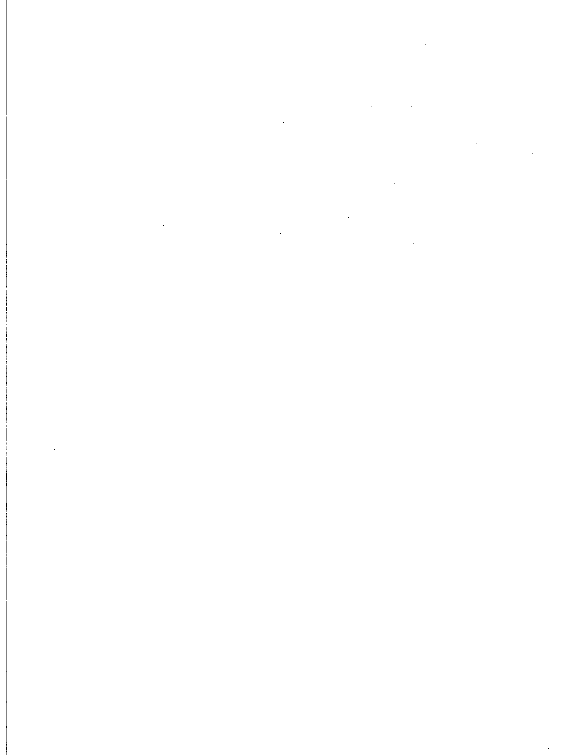$\mathcal{L}^{\text{max}}_{\text{max}}$ 

 $\label{eq:2.1} \begin{split} \mathcal{L}_{\text{max}}(\mathbf{r}) & = \frac{1}{2} \sum_{i=1}^{N} \mathcal{L}_{\text{max}}(\mathbf{r}) \mathcal{L}_{\text{max}}(\mathbf{r}) \\ & = \frac{1}{2} \sum_{i=1}^{N} \mathcal{L}_{\text{max}}(\mathbf{r}) \mathcal{L}_{\text{max}}(\mathbf{r}) \mathcal{L}_{\text{max}}(\mathbf{r}) \mathcal{L}_{\text{max}}(\mathbf{r}) \mathcal{L}_{\text{max}}(\mathbf{r}) \mathcal{L}_{\text{max}}(\mathbf{r}) \mathcal{L}_{\text{max}}(\mathbf$ 

 $\mathcal{L}(\mathcal{L}(\mathcal{L}))$  and  $\mathcal{L}(\mathcal{L}(\mathcal{L}))$  . The contribution of the contribution of  $\mathcal{L}(\mathcal{L})$ 

 $\label{eq:2.1} \frac{1}{\sqrt{2}}\int_{\mathbb{R}^3}\frac{1}{\sqrt{2}}\left(\frac{1}{\sqrt{2}}\right)^2\frac{1}{\sqrt{2}}\left(\frac{1}{\sqrt{2}}\right)^2\frac{1}{\sqrt{2}}\left(\frac{1}{\sqrt{2}}\right)^2\frac{1}{\sqrt{2}}\left(\frac{1}{\sqrt{2}}\right)^2.$  $\mathcal{L}_{\text{max}}$  and  $\mathcal{L}_{\text{max}}$  .

 $\label{eq:2.1} \mathcal{L}(\mathcal{L}^{\text{max}}_{\mathcal{L}}(\mathcal{L}^{\text{max}}_{\mathcal{L}})) \leq \mathcal{L}(\mathcal{L}^{\text{max}}_{\mathcal{L}}(\mathcal{L}^{\text{max}}_{\mathcal{L}}))$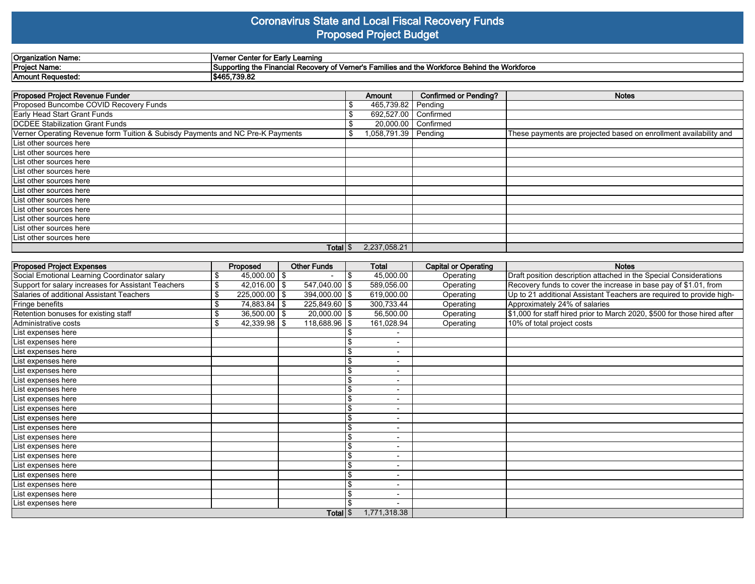#### **Coronavirus State and Local Fiscal Recovery Funds Proposed Project Budget**

| Organization<br>Mame. | <sup>,</sup> Learning<br>- - - - - - -<br>Verner<br>∵on.<br>TOI<br>vener<br><b>CHILCH</b>                                              |
|-----------------------|----------------------------------------------------------------------------------------------------------------------------------------|
| <b>Project Name:</b>  | hind the Workforce<br>. <sup>V</sup> erne، ۷۰<br>. .<br><b>AAL</b><br>amilies and the Workfo<br>Recoven<br>inancial<br>'Supporting the |
| Amount Requested.     | \$465,739.82                                                                                                                           |

| Proposed Project Revenue Funder                                                | Amount                 | <b>Confirmed or Pending?</b> | <b>Notes</b>                                                      |
|--------------------------------------------------------------------------------|------------------------|------------------------------|-------------------------------------------------------------------|
| Proposed Buncombe COVID Recovery Funds                                         | 465,739.82 Pending     |                              |                                                                   |
| Early Head Start Grant Funds                                                   | 692,527.00   Confirmed |                              |                                                                   |
| <b>DCDEE Stabilization Grant Funds</b>                                         |                        | 20,000.00   Confirmed        |                                                                   |
| Verner Operating Revenue form Tuition & Subisdy Payments and NC Pre-K Payments | 1,058,791.39   Pending |                              | These payments are projected based on enrollment availability and |
| List other sources here                                                        |                        |                              |                                                                   |
| List other sources here                                                        |                        |                              |                                                                   |
| List other sources here                                                        |                        |                              |                                                                   |
| List other sources here                                                        |                        |                              |                                                                   |
| List other sources here                                                        |                        |                              |                                                                   |
| List other sources here                                                        |                        |                              |                                                                   |
| List other sources here                                                        |                        |                              |                                                                   |
| List other sources here                                                        |                        |                              |                                                                   |
| List other sources here                                                        |                        |                              |                                                                   |
| List other sources here                                                        |                        |                              |                                                                   |
| List other sources here                                                        |                        |                              |                                                                   |
| Total $\frac{1}{3}$                                                            | 2,237,058.21           |                              |                                                                   |

| <b>Proposed Project Expenses</b>                    |     | Proposed         | <b>Other Funds</b>  |      | Total        | <b>Capital or Operating</b> | <b>Notes</b>                                                             |
|-----------------------------------------------------|-----|------------------|---------------------|------|--------------|-----------------------------|--------------------------------------------------------------------------|
| Social Emotional Learning Coordinator salary        | \$  | $45,000.00$   \$ |                     | - \$ | 45,000.00    | Operating                   | Draft position description attached in the Special Considerations        |
| Support for salary increases for Assistant Teachers |     | $42,016.00$   \$ | 547,040.00 \$       |      | 589,056.00   | Operating                   | Recovery funds to cover the increase in base pay of \$1.01, from         |
| Salaries of additional Assistant Teachers           | \$. | $225,000.00$ \\$ | $394,000.00$ \\$    |      | 619,000.00   | Operating                   | Up to 21 additional Assistant Teachers are required to provide high-     |
| Fringe benefits                                     |     | 74,883.84   \$   | 225,849.60 \$       |      | 300,733.44   | Operating                   | Approximately 24% of salaries                                            |
| Retention bonuses for existing staff                | \$  | $36,500.00$   \$ | $20,000.00$ \\$     |      | 56,500.00    | Operating                   | \$1,000 for staff hired prior to March 2020, \$500 for those hired after |
| Administrative costs                                | \$  | $42,339.98$   \$ | 118,688.96   \$     |      | 161,028.94   | Operating                   | 10% of total project costs                                               |
| List expenses here                                  |     |                  |                     |      |              |                             |                                                                          |
| List expenses here                                  |     |                  |                     |      |              |                             |                                                                          |
| List expenses here                                  |     |                  |                     |      |              |                             |                                                                          |
| List expenses here                                  |     |                  |                     |      |              |                             |                                                                          |
| List expenses here                                  |     |                  |                     |      |              |                             |                                                                          |
| List expenses here                                  |     |                  |                     |      |              |                             |                                                                          |
| List expenses here                                  |     |                  |                     |      |              |                             |                                                                          |
| List expenses here                                  |     |                  |                     |      |              |                             |                                                                          |
| List expenses here                                  |     |                  |                     |      |              |                             |                                                                          |
| List expenses here                                  |     |                  |                     |      |              |                             |                                                                          |
| List expenses here                                  |     |                  |                     |      |              |                             |                                                                          |
| List expenses here                                  |     |                  |                     |      |              |                             |                                                                          |
| List expenses here                                  |     |                  |                     |      |              |                             |                                                                          |
| List expenses here                                  |     |                  |                     |      |              |                             |                                                                          |
| List expenses here                                  |     |                  |                     |      |              |                             |                                                                          |
| List expenses here                                  |     |                  |                     |      |              |                             |                                                                          |
| List expenses here                                  |     |                  |                     |      |              |                             |                                                                          |
| List expenses here                                  |     |                  |                     |      |              |                             |                                                                          |
| List expenses here                                  |     |                  |                     |      |              |                             |                                                                          |
|                                                     |     |                  | Total $\frac{1}{3}$ |      | 1,771,318.38 |                             |                                                                          |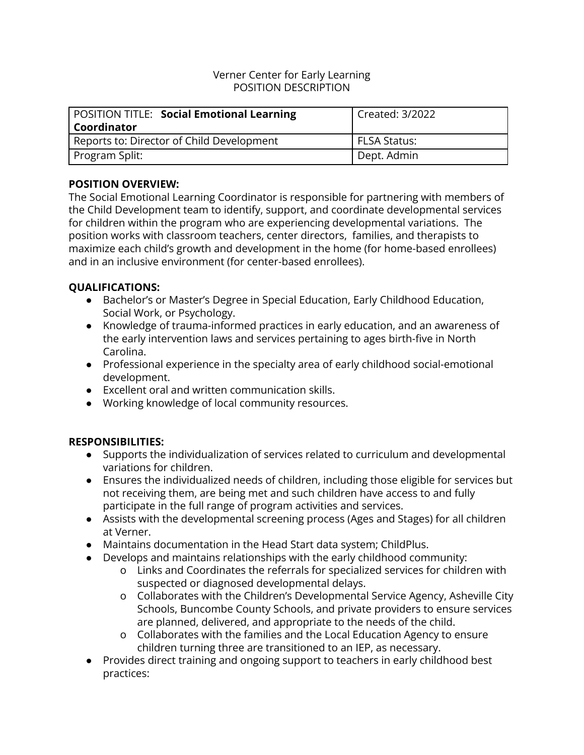#### Verner Center for Early Learning POSITION DESCRIPTION

| POSITION TITLE: Social Emotional Learning<br>  Coordinator | Created: 3/2022     |
|------------------------------------------------------------|---------------------|
| Reports to: Director of Child Development                  | <b>FLSA Status:</b> |
| Program Split:                                             | Dept. Admin         |

### **POSITION OVERVIEW:**

The Social Emotional Learning Coordinator is responsible for partnering with members of the Child Development team to identify, support, and coordinate developmental services for children within the program who are experiencing developmental variations. The position works with classroom teachers, center directors, families, and therapists to maximize each child's growth and development in the home (for home-based enrollees) and in an inclusive environment (for center-based enrollees).

#### **QUALIFICATIONS:**

- Bachelor's or Master's Degree in Special Education, Early Childhood Education, Social Work, or Psychology.
- Knowledge of trauma-informed practices in early education, and an awareness of the early intervention laws and services pertaining to ages birth-five in North Carolina.
- Professional experience in the specialty area of early childhood social-emotional development.
- Excellent oral and written communication skills.
- Working knowledge of local community resources.

#### **RESPONSIBILITIES:**

- Supports the individualization of services related to curriculum and developmental variations for children.
- Ensures the individualized needs of children, including those eligible for services but not receiving them, are being met and such children have access to and fully participate in the full range of program activities and services.
- Assists with the developmental screening process (Ages and Stages) for all children at Verner.
- Maintains documentation in the Head Start data system; ChildPlus.
- Develops and maintains relationships with the early childhood community:
	- o Links and Coordinates the referrals for specialized services for children with suspected or diagnosed developmental delays.
	- o Collaborates with the Children's Developmental Service Agency, Asheville City Schools, Buncombe County Schools, and private providers to ensure services are planned, delivered, and appropriate to the needs of the child.
	- o Collaborates with the families and the Local Education Agency to ensure children turning three are transitioned to an IEP, as necessary.
- Provides direct training and ongoing support to teachers in early childhood best practices: